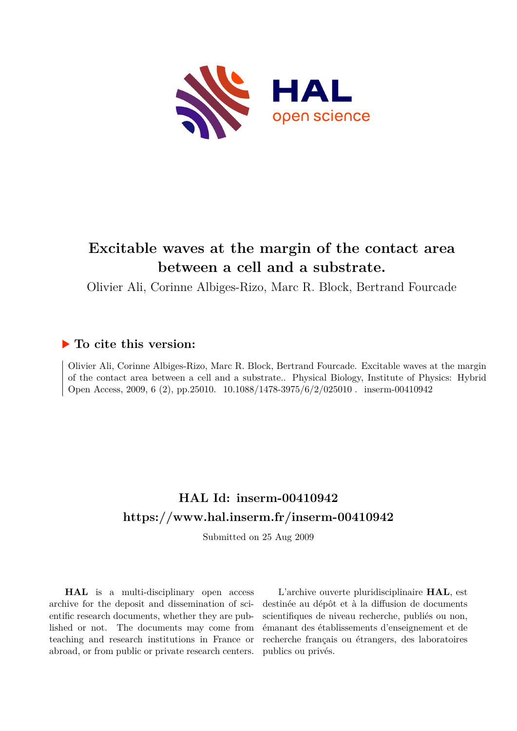

# **Excitable waves at the margin of the contact area between a cell and a substrate.**

Olivier Ali, Corinne Albiges-Rizo, Marc R. Block, Bertrand Fourcade

# **To cite this version:**

Olivier Ali, Corinne Albiges-Rizo, Marc R. Block, Bertrand Fourcade. Excitable waves at the margin of the contact area between a cell and a substrate.. Physical Biology, Institute of Physics: Hybrid Open Access, 2009, 6 (2), pp.25010.  $10.1088/1478-3975/6/2/025010$ . inserm-00410942

# **HAL Id: inserm-00410942 <https://www.hal.inserm.fr/inserm-00410942>**

Submitted on 25 Aug 2009

**HAL** is a multi-disciplinary open access archive for the deposit and dissemination of scientific research documents, whether they are published or not. The documents may come from teaching and research institutions in France or abroad, or from public or private research centers.

L'archive ouverte pluridisciplinaire **HAL**, est destinée au dépôt et à la diffusion de documents scientifiques de niveau recherche, publiés ou non, émanant des établissements d'enseignement et de recherche français ou étrangers, des laboratoires publics ou privés.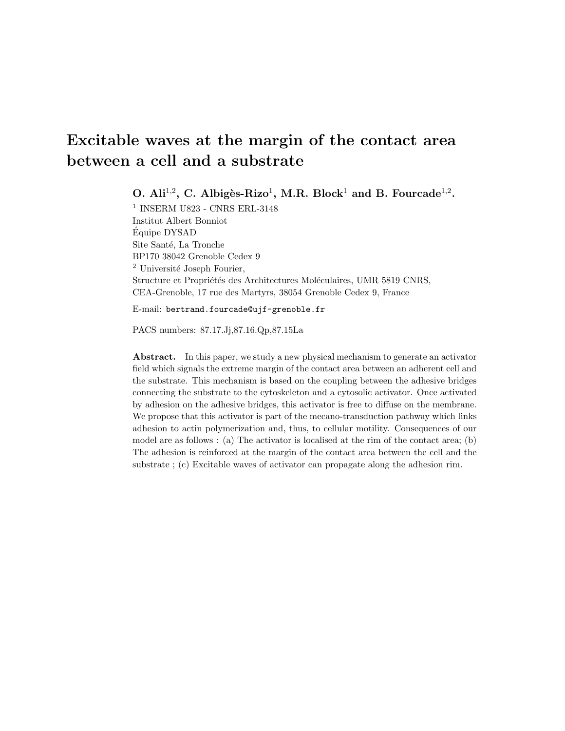# Excitable waves at the margin of the contact area between a cell and a substrate

O. Ali<sup>1,2</sup>, C. Albigès-Rizo<sup>1</sup>, M.R. Block<sup>1</sup> and B. Fourcade<sup>1,2</sup>.

 $^{\rm 1}$  INSERM U823 - CNRS ERL-3148 Institut Albert Bonniot Equipe DYSAD ´ Site Santé, La Tronche BP170 38042 Grenoble Cedex 9 <sup>2</sup> Université Joseph Fourier, Structure et Propriétés des Architectures Moléculaires, UMR 5819 CNRS, CEA-Grenoble, 17 rue des Martyrs, 38054 Grenoble Cedex 9, France

E-mail: bertrand.fourcade@ujf-grenoble.fr

PACS numbers: 87.17.Jj,87.16.Qp,87.15La

Abstract. In this paper, we study a new physical mechanism to generate an activator field which signals the extreme margin of the contact area between an adherent cell and the substrate. This mechanism is based on the coupling between the adhesive bridges connecting the substrate to the cytoskeleton and a cytosolic activator. Once activated by adhesion on the adhesive bridges, this activator is free to diffuse on the membrane. We propose that this activator is part of the mecano-transduction pathway which links adhesion to actin polymerization and, thus, to cellular motility. Consequences of our model are as follows : (a) The activator is localised at the rim of the contact area; (b) The adhesion is reinforced at the margin of the contact area between the cell and the substrate ; (c) Excitable waves of activator can propagate along the adhesion rim.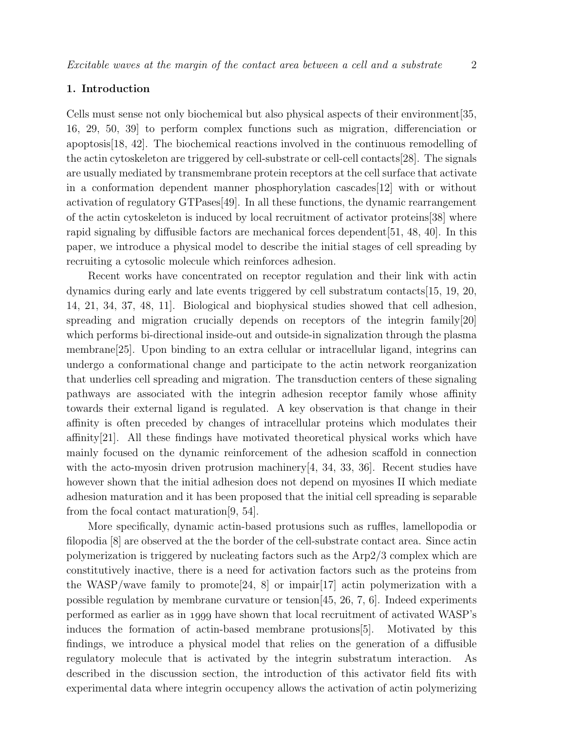# 1. Introduction

Cells must sense not only biochemical but also physical aspects of their environment[35, 16, 29, 50, 39] to perform complex functions such as migration, differenciation or apoptosis[18, 42]. The biochemical reactions involved in the continuous remodelling of the actin cytoskeleton are triggered by cell-substrate or cell-cell contacts[28]. The signals are usually mediated by transmembrane protein receptors at the cell surface that activate in a conformation dependent manner phosphorylation cascades[12] with or without activation of regulatory GTPases[49]. In all these functions, the dynamic rearrangement of the actin cytoskeleton is induced by local recruitment of activator proteins[38] where rapid signaling by diffusible factors are mechanical forces dependent[51, 48, 40]. In this paper, we introduce a physical model to describe the initial stages of cell spreading by recruiting a cytosolic molecule which reinforces adhesion.

Recent works have concentrated on receptor regulation and their link with actin dynamics during early and late events triggered by cell substratum contacts[15, 19, 20, 14, 21, 34, 37, 48, 11]. Biological and biophysical studies showed that cell adhesion, spreading and migration crucially depends on receptors of the integrin family[20] which performs bi-directional inside-out and outside-in signalization through the plasma membrane<sup>[25]</sup>. Upon binding to an extra cellular or intracellular ligand, integrins can undergo a conformational change and participate to the actin network reorganization that underlies cell spreading and migration. The transduction centers of these signaling pathways are associated with the integrin adhesion receptor family whose affinity towards their external ligand is regulated. A key observation is that change in their affinity is often preceded by changes of intracellular proteins which modulates their affinity[21]. All these findings have motivated theoretical physical works which have mainly focused on the dynamic reinforcement of the adhesion scaffold in connection with the acto-myosin driven protrusion machinery $[4, 34, 33, 36]$ . Recent studies have however shown that the initial adhesion does not depend on myosines II which mediate adhesion maturation and it has been proposed that the initial cell spreading is separable from the focal contact maturation[9, 54].

More specifically, dynamic actin-based protusions such as ruffles, lamellopodia or filopodia [8] are observed at the the border of the cell-substrate contact area. Since actin polymerization is triggered by nucleating factors such as the Arp2/3 complex which are constitutively inactive, there is a need for activation factors such as the proteins from the WASP/wave family to promote  $[24, 8]$  or impair  $[17]$  actin polymerization with a possible regulation by membrane curvature or tension[45, 26, 7, 6]. Indeed experiments performed as earlier as in 1999 have shown that local recruitment of activated WASP's induces the formation of actin-based membrane protusions[5]. Motivated by this findings, we introduce a physical model that relies on the generation of a diffusible regulatory molecule that is activated by the integrin substratum interaction. As described in the discussion section, the introduction of this activator field fits with experimental data where integrin occupency allows the activation of actin polymerizing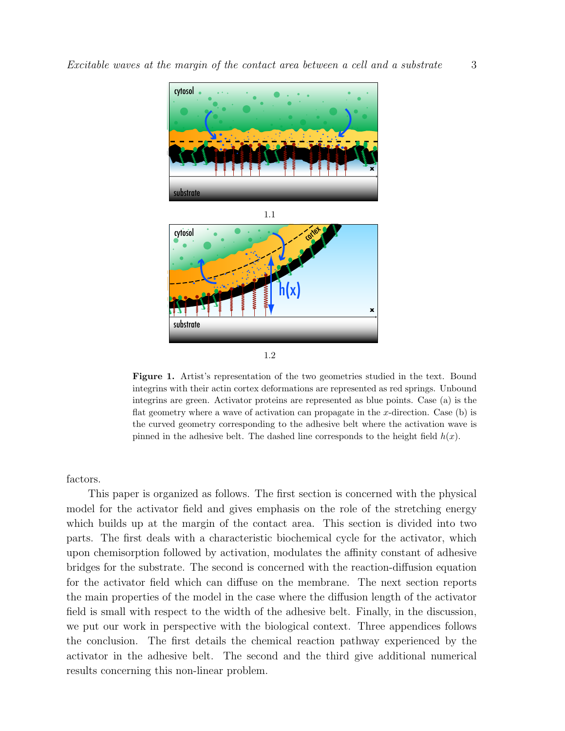





Figure 1. Artist's representation of the two geometries studied in the text. Bound integrins with their actin cortex deformations are represented as red springs. Unbound integrins are green. Activator proteins are represented as blue points. Case (a) is the flat geometry where a wave of activation can propagate in the  $x$ -direction. Case (b) is the curved geometry corresponding to the adhesive belt where the activation wave is pinned in the adhesive belt. The dashed line corresponds to the height field  $h(x)$ .

factors.

This paper is organized as follows. The first section is concerned with the physical model for the activator field and gives emphasis on the role of the stretching energy which builds up at the margin of the contact area. This section is divided into two parts. The first deals with a characteristic biochemical cycle for the activator, which upon chemisorption followed by activation, modulates the affinity constant of adhesive bridges for the substrate. The second is concerned with the reaction-diffusion equation for the activator field which can diffuse on the membrane. The next section reports the main properties of the model in the case where the diffusion length of the activator field is small with respect to the width of the adhesive belt. Finally, in the discussion, we put our work in perspective with the biological context. Three appendices follows the conclusion. The first details the chemical reaction pathway experienced by the activator in the adhesive belt. The second and the third give additional numerical results concerning this non-linear problem.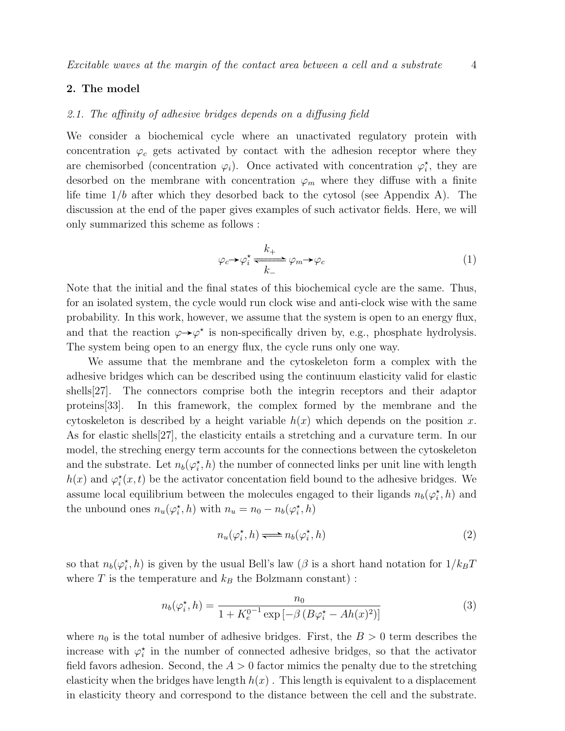### 2. The model

#### 2.1. The affinity of adhesive bridges depends on a diffusing field

We consider a biochemical cycle where an unactivated regulatory protein with concentration  $\varphi_c$  gets activated by contact with the adhesion receptor where they are chemisorbed (concentration  $\varphi_i$ ). Once activated with concentration  $\varphi_i^*$ , they are desorbed on the membrane with concentration  $\varphi_m$  where they diffuse with a finite life time  $1/b$  after which they desorbed back to the cytosol (see Appendix A). The discussion at the end of the paper gives examples of such activator fields. Here, we will only summarized this scheme as follows :

$$
\varphi_c \to \varphi_i^* \xleftarrow{k_+} \varphi_m \to \varphi_c \tag{1}
$$

Note that the initial and the final states of this biochemical cycle are the same. Thus, for an isolated system, the cycle would run clock wise and anti-clock wise with the same probability. In this work, however, we assume that the system is open to an energy flux, and that the reaction  $\varphi \rightarrow \varphi^*$  is non-specifically driven by, e.g., phosphate hydrolysis. The system being open to an energy flux, the cycle runs only one way.

We assume that the membrane and the cytoskeleton form a complex with the adhesive bridges which can be described using the continuum elasticity valid for elastic shells[27]. The connectors comprise both the integrin receptors and their adaptor proteins[33]. In this framework, the complex formed by the membrane and the cytoskeleton is described by a height variable  $h(x)$  which depends on the position x. As for elastic shells[27], the elasticity entails a stretching and a curvature term. In our model, the streching energy term accounts for the connections between the cytoskeleton and the substrate. Let  $n_b(\varphi_i^*, h)$  the number of connected links per unit line with length  $h(x)$  and  $\varphi_i^*(x,t)$  be the activator concentation field bound to the adhesive bridges. We assume local equilibrium between the molecules engaged to their ligands  $n_b(\varphi_i^*, h)$  and the unbound ones  $n_u(\varphi_i^*, h)$  with  $n_u = n_0 - n_b(\varphi_i^*, h)$ 

$$
n_u(\varphi_i^{\star}, h) \Longleftrightarrow n_b(\varphi_i^{\star}, h) \tag{2}
$$

so that  $n_b(\varphi_i^*, h)$  is given by the usual Bell's law ( $\beta$  is a short hand notation for  $1/k_B T$ where  $T$  is the temperature and  $k_B$  the Bolzmann constant) :

$$
n_b(\varphi_i^*, h) = \frac{n_0}{1 + K_e^{0^{-1}} \exp\left[-\beta \left(B\varphi_i^* - Ah(x)^2\right)\right]}
$$
(3)

where  $n_0$  is the total number of adhesive bridges. First, the  $B > 0$  term describes the increase with  $\varphi_i^*$  in the number of connected adhesive bridges, so that the activator field favors adhesion. Second, the  $A > 0$  factor mimics the penalty due to the stretching elasticity when the bridges have length  $h(x)$ . This length is equivalent to a displacement in elasticity theory and correspond to the distance between the cell and the substrate.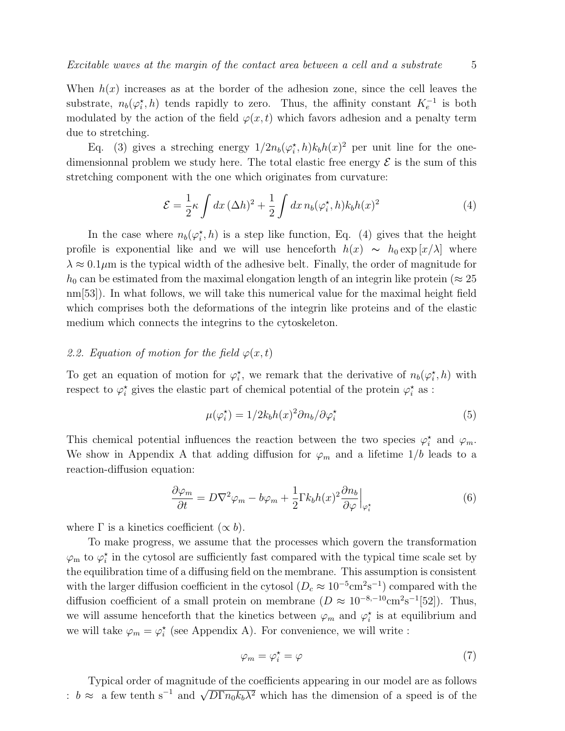When  $h(x)$  increases as at the border of the adhesion zone, since the cell leaves the substrate,  $n_b(\varphi_i^*, h)$  tends rapidly to zero. Thus, the affinity constant  $K_e^{-1}$  is both modulated by the action of the field  $\varphi(x, t)$  which favors adhesion and a penalty term due to stretching.

Eq. (3) gives a streching energy  $1/2n_b(\varphi_i^*,h)k_bh(x)^2$  per unit line for the onedimensionnal problem we study here. The total elastic free energy  $\mathcal E$  is the sum of this stretching component with the one which originates from curvature:

$$
\mathcal{E} = \frac{1}{2}\kappa \int dx \, (\Delta h)^2 + \frac{1}{2} \int dx \, n_b(\varphi_i^{\star}, h) k_b h(x)^2 \tag{4}
$$

In the case where  $n_b(\varphi_i^*, h)$  is a step like function, Eq. (4) gives that the height profile is exponential like and we will use henceforth  $h(x) \sim h_0 \exp(x/\lambda)$  where  $\lambda \approx 0.1 \mu m$  is the typical width of the adhesive belt. Finally, the order of magnitude for  $h_0$  can be estimated from the maximal elongation length of an integrin like protein ( $\approx 25$ nm[53]). In what follows, we will take this numerical value for the maximal height field which comprises both the deformations of the integrin like proteins and of the elastic medium which connects the integrins to the cytoskeleton.

## 2.2. Equation of motion for the field  $\varphi(x,t)$

To get an equation of motion for  $\varphi_i^*$ , we remark that the derivative of  $n_b(\varphi_i^*, h)$  with respect to  $\varphi_i^*$  gives the elastic part of chemical potential of the protein  $\varphi_i^*$  as :

$$
\mu(\varphi_i^*) = 1/2k_b h(x)^2 \partial n_b / \partial \varphi_i^* \tag{5}
$$

This chemical potential influences the reaction between the two species  $\varphi_i^*$  and  $\varphi_m$ . We show in Appendix A that adding diffusion for  $\varphi_m$  and a lifetime  $1/b$  leads to a reaction-diffusion equation:

$$
\frac{\partial \varphi_m}{\partial t} = D\nabla^2 \varphi_m - b\varphi_m + \frac{1}{2} \Gamma k_b h(x)^2 \frac{\partial n_b}{\partial \varphi} \Big|_{\varphi_t^*} \tag{6}
$$

where  $\Gamma$  is a kinetics coefficient  $(\propto b)$ .

To make progress, we assume that the processes which govern the transformation  $\varphi_m$  to  $\varphi_i^*$  in the cytosol are sufficiently fast compared with the typical time scale set by the equilibration time of a diffusing field on the membrane. This assumption is consistent with the larger diffusion coefficient in the cytosol  $(D_c \approx 10^{-5} \text{cm}^2 \text{s}^{-1})$  compared with the diffusion coefficient of a small protein on membrane  $(D \approx 10^{-8,-10} \text{cm}^2 \text{s}^{-1} [52])$ . Thus, we will assume henceforth that the kinetics between  $\varphi_m$  and  $\varphi_i^*$  is at equilibrium and we will take  $\varphi_m = \varphi_i^*$  (see Appendix A). For convenience, we will write :

$$
\varphi_m = \varphi_i^* = \varphi \tag{7}
$$

Typical order of magnitude of the coefficients appearing in our model are as follows :  $b \approx a$  few tenth s<sup>-1</sup> and  $\sqrt{D\Gamma n_0 k_b \lambda^2}$  which has the dimension of a speed is of the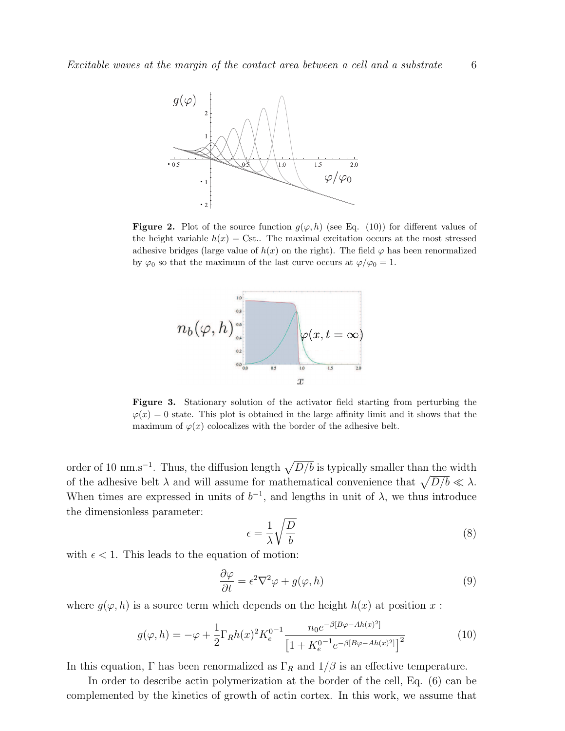

**Figure 2.** Plot of the source function  $g(\varphi, h)$  (see Eq. (10)) for different values of the height variable  $h(x) = \text{Cst}$ .. The maximal excitation occurs at the most stressed adhesive bridges (large value of  $h(x)$  on the right). The field  $\varphi$  has been renormalized by  $\varphi_0$  so that the maximum of the last curve occurs at  $\varphi/\varphi_0 = 1$ .



Figure 3. Stationary solution of the activator field starting from perturbing the  $\varphi(x) = 0$  state. This plot is obtained in the large affinity limit and it shows that the maximum of  $\varphi(x)$  colocalizes with the border of the adhesive belt.

order of 10 nm.s<sup>-1</sup>. Thus, the diffusion length  $\sqrt{D/b}$  is typically smaller than the width of the adhesive belt  $\lambda$  and will assume for mathematical convenience that  $\sqrt{D/b} \ll \lambda$ . When times are expressed in units of  $b^{-1}$ , and lengths in unit of  $\lambda$ , we thus introduce the dimensionless parameter:

$$
\epsilon = \frac{1}{\lambda} \sqrt{\frac{D}{b}} \tag{8}
$$

with  $\epsilon$  < 1. This leads to the equation of motion:

$$
\frac{\partial \varphi}{\partial t} = \epsilon^2 \nabla^2 \varphi + g(\varphi, h) \tag{9}
$$

where  $g(\varphi, h)$  is a source term which depends on the height  $h(x)$  at position x:

$$
g(\varphi, h) = -\varphi + \frac{1}{2} \Gamma_R h(x)^2 K_e^{0-1} \frac{n_0 e^{-\beta [B\varphi - Ah(x)^2]}}{\left[1 + K_e^{0-1} e^{-\beta [B\varphi - Ah(x)^2]}\right]^2}
$$
(10)

In this equation,  $\Gamma$  has been renormalized as  $\Gamma_R$  and  $1/\beta$  is an effective temperature.

In order to describe actin polymerization at the border of the cell, Eq. (6) can be complemented by the kinetics of growth of actin cortex. In this work, we assume that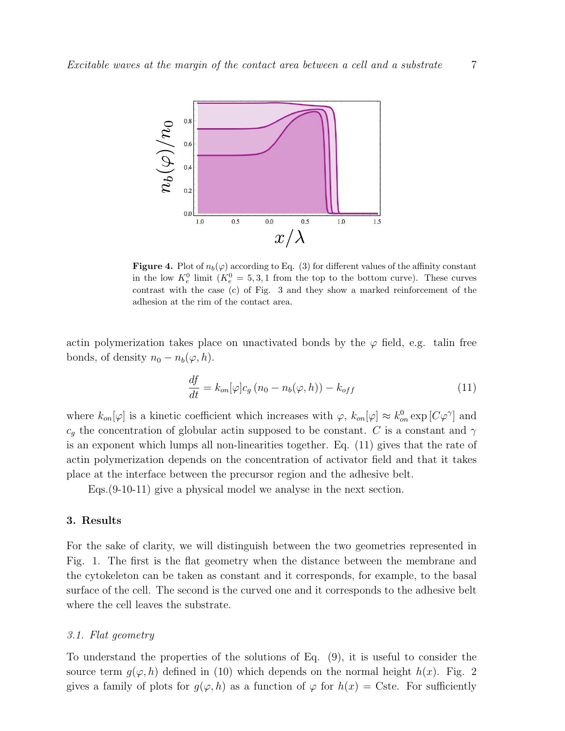

**Figure 4.** Plot of  $n_b(\varphi)$  according to Eq. (3) for different values of the affinity constant in the low  $K_e^0$  limit  $(K_e^0 = 5, 3, 1$  from the top to the bottom curve). These curves contrast with the case (c) of Fig. 3 and they show a marked reinforcement of the adhesion at the rim of the contact area.

actin polymerization takes place on unactivated bonds by the  $\varphi$  field, e.g. talin free bonds, of density  $n_0 - n_b(\varphi, h)$ .

$$
\frac{df}{dt} = k_{on}[\varphi]c_g\left(n_0 - n_b(\varphi, h)\right) - k_{off}
$$
\n(11)

where  $k_{on}[\varphi]$  is a kinetic coefficient which increases with  $\varphi$ ,  $k_{on}[\varphi] \approx k_{on}^0 \exp[C\varphi^{\gamma}]$  and  $c_q$  the concentration of globular actin supposed to be constant. C is a constant and  $\gamma$ is an exponent which lumps all non-linearities together. Eq. (11) gives that the rate of actin polymerization depends on the concentration of activator field and that it takes place at the interface between the precursor region and the adhesive belt.

Eqs.(9-10-11) give a physical model we analyse in the next section.

#### 3. Results

For the sake of clarity, we will distinguish between the two geometries represented in Fig. 1. The first is the flat geometry when the distance between the membrane and the cytokeleton can be taken as constant and it corresponds, for example, to the basal surface of the cell. The second is the curved one and it corresponds to the adhesive belt where the cell leaves the substrate.

#### 3.1. Flat geometry

To understand the properties of the solutions of Eq. (9), it is useful to consider the source term  $q(\varphi, h)$  defined in (10) which depends on the normal height  $h(x)$ . Fig. 2 gives a family of plots for  $g(\varphi, h)$  as a function of  $\varphi$  for  $h(x) = \text{Cste}$ . For sufficiently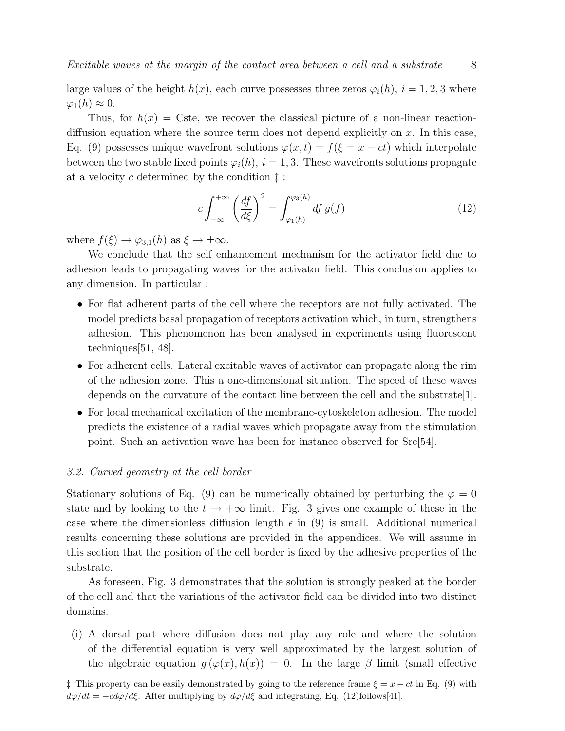large values of the height  $h(x)$ , each curve possesses three zeros  $\varphi_i(h)$ ,  $i = 1, 2, 3$  where  $\varphi_1(h) \approx 0.$ 

Thus, for  $h(x) = \text{Cste}$ , we recover the classical picture of a non-linear reactiondiffusion equation where the source term does not depend explicitly on  $x$ . In this case, Eq. (9) possesses unique wavefront solutions  $\varphi(x,t) = f(\xi = x - ct)$  which interpolate between the two stable fixed points  $\varphi_i(h)$ ,  $i = 1, 3$ . These wavefronts solutions propagate at a velocity c determined by the condition  $\ddagger$ :

$$
c \int_{-\infty}^{+\infty} \left(\frac{df}{d\xi}\right)^2 = \int_{\varphi_1(h)}^{\varphi_3(h)} df g(f) \tag{12}
$$

where  $f(\xi) \to \varphi_{3,1}(h)$  as  $\xi \to \pm \infty$ .

We conclude that the self enhancement mechanism for the activator field due to adhesion leads to propagating waves for the activator field. This conclusion applies to any dimension. In particular :

- For flat adherent parts of the cell where the receptors are not fully activated. The model predicts basal propagation of receptors activation which, in turn, strengthens adhesion. This phenomenon has been analysed in experiments using fluorescent techniques[51, 48].
- For adherent cells. Lateral excitable waves of activator can propagate along the rim of the adhesion zone. This a one-dimensional situation. The speed of these waves depends on the curvature of the contact line between the cell and the substrate[1].
- For local mechanical excitation of the membrane-cytoskeleton adhesion. The model predicts the existence of a radial waves which propagate away from the stimulation point. Such an activation wave has been for instance observed for Src[54].

### 3.2. Curved geometry at the cell border

Stationary solutions of Eq. (9) can be numerically obtained by perturbing the  $\varphi = 0$ state and by looking to the  $t \to +\infty$  limit. Fig. 3 gives one example of these in the case where the dimensionless diffusion length  $\epsilon$  in (9) is small. Additional numerical results concerning these solutions are provided in the appendices. We will assume in this section that the position of the cell border is fixed by the adhesive properties of the substrate.

As foreseen, Fig. 3 demonstrates that the solution is strongly peaked at the border of the cell and that the variations of the activator field can be divided into two distinct domains.

(i) A dorsal part where diffusion does not play any role and where the solution of the differential equation is very well approximated by the largest solution of the algebraic equation  $q(\varphi(x), h(x)) = 0$ . In the large  $\beta$  limit (small effective

 $\ddagger$  This property can be easily demonstrated by going to the reference frame  $\xi = x - ct$  in Eq. (9) with  $d\varphi/dt = -c d\varphi/d\xi$ . After multiplying by  $d\varphi/d\xi$  and integrating, Eq. (12)follows[41].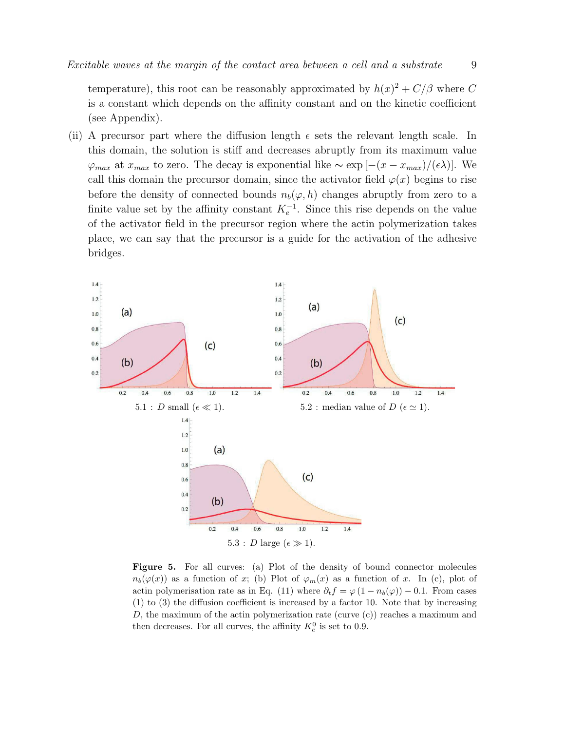temperature), this root can be reasonably approximated by  $h(x)^2 + C/\beta$  where C is a constant which depends on the affinity constant and on the kinetic coefficient (see Appendix).

(ii) A precursor part where the diffusion length  $\epsilon$  sets the relevant length scale. In this domain, the solution is stiff and decreases abruptly from its maximum value  $\varphi_{max}$  at  $x_{max}$  to zero. The decay is exponential like  $\sim \exp[-(x - x_{max})/(\epsilon \lambda)]$ . We call this domain the precursor domain, since the activator field  $\varphi(x)$  begins to rise before the density of connected bounds  $n_b(\varphi, h)$  changes abruptly from zero to a finite value set by the affinity constant  $K<sub>e</sub><sup>-1</sup>$ . Since this rise depends on the value of the activator field in the precursor region where the actin polymerization takes place, we can say that the precursor is a guide for the activation of the adhesive bridges.



Figure 5. For all curves: (a) Plot of the density of bound connector molecules  $n_b(\varphi(x))$  as a function of x; (b) Plot of  $\varphi_m(x)$  as a function of x. In (c), plot of actin polymerisation rate as in Eq. (11) where  $\partial_t f = \varphi (1 - n_b(\varphi)) - 0.1$ . From cases (1) to (3) the diffusion coefficient is increased by a factor 10. Note that by increasing D, the maximum of the actin polymerization rate (curve  $(c)$ ) reaches a maximum and then decreases. For all curves, the affinity  $K_e^0$  is set to 0.9.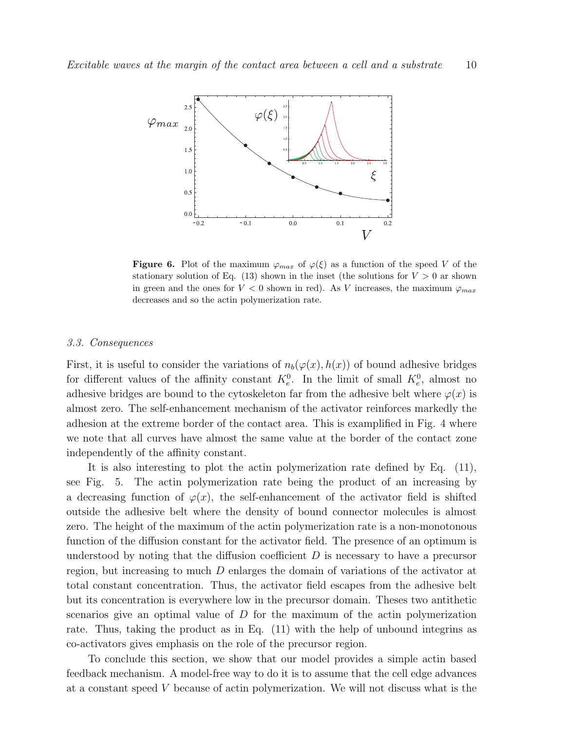

**Figure 6.** Plot of the maximum  $\varphi_{max}$  of  $\varphi(\xi)$  as a function of the speed V of the stationary solution of Eq. (13) shown in the inset (the solutions for  $V > 0$  ar shown in green and the ones for  $V < 0$  shown in red). As V increases, the maximum  $\varphi_{max}$ decreases and so the actin polymerization rate.

#### 3.3. Consequences

First, it is useful to consider the variations of  $n_b(\varphi(x), h(x))$  of bound adhesive bridges for different values of the affinity constant  $K_e^0$ . In the limit of small  $K_e^0$ , almost no adhesive bridges are bound to the cytoskeleton far from the adhesive belt where  $\varphi(x)$  is almost zero. The self-enhancement mechanism of the activator reinforces markedly the adhesion at the extreme border of the contact area. This is examplified in Fig. 4 where we note that all curves have almost the same value at the border of the contact zone independently of the affinity constant.

It is also interesting to plot the actin polymerization rate defined by Eq. (11), see Fig. 5. The actin polymerization rate being the product of an increasing by a decreasing function of  $\varphi(x)$ , the self-enhancement of the activator field is shifted outside the adhesive belt where the density of bound connector molecules is almost zero. The height of the maximum of the actin polymerization rate is a non-monotonous function of the diffusion constant for the activator field. The presence of an optimum is understood by noting that the diffusion coefficient  $D$  is necessary to have a precursor region, but increasing to much D enlarges the domain of variations of the activator at total constant concentration. Thus, the activator field escapes from the adhesive belt but its concentration is everywhere low in the precursor domain. Theses two antithetic scenarios give an optimal value of D for the maximum of the actin polymerization rate. Thus, taking the product as in Eq. (11) with the help of unbound integrins as co-activators gives emphasis on the role of the precursor region.

To conclude this section, we show that our model provides a simple actin based feedback mechanism. A model-free way to do it is to assume that the cell edge advances at a constant speed V because of actin polymerization. We will not discuss what is the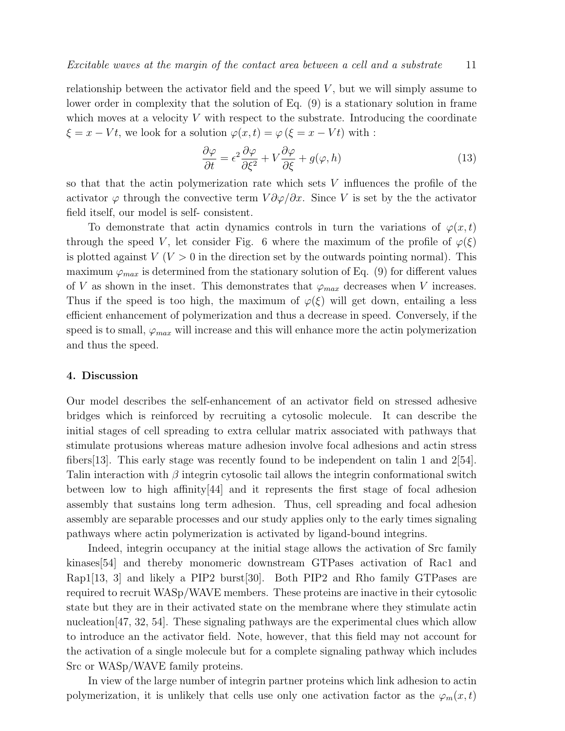relationship between the activator field and the speed  $V$ , but we will simply assume to lower order in complexity that the solution of Eq. (9) is a stationary solution in frame which moves at a velocity  $V$  with respect to the substrate. Introducing the coordinate  $\xi = x - Vt$ , we look for a solution  $\varphi(x, t) = \varphi(\xi = x - Vt)$  with :

$$
\frac{\partial \varphi}{\partial t} = \epsilon^2 \frac{\partial \varphi}{\partial \xi^2} + V \frac{\partial \varphi}{\partial \xi} + g(\varphi, h) \tag{13}
$$

so that that the actin polymerization rate which sets V influences the profile of the activator  $\varphi$  through the convective term  $V \partial \varphi / \partial x$ . Since V is set by the the activator field itself, our model is self- consistent.

To demonstrate that actin dynamics controls in turn the variations of  $\varphi(x,t)$ through the speed V, let consider Fig. 6 where the maximum of the profile of  $\varphi(\xi)$ is plotted against  $V(V > 0$  in the direction set by the outwards pointing normal). This maximum  $\varphi_{max}$  is determined from the stationary solution of Eq. (9) for different values of V as shown in the inset. This demonstrates that  $\varphi_{max}$  decreases when V increases. Thus if the speed is too high, the maximum of  $\varphi(\xi)$  will get down, entailing a less efficient enhancement of polymerization and thus a decrease in speed. Conversely, if the speed is to small,  $\varphi_{max}$  will increase and this will enhance more the actin polymerization and thus the speed.

### 4. Discussion

Our model describes the self-enhancement of an activator field on stressed adhesive bridges which is reinforced by recruiting a cytosolic molecule. It can describe the initial stages of cell spreading to extra cellular matrix associated with pathways that stimulate protusions whereas mature adhesion involve focal adhesions and actin stress fibers[13]. This early stage was recently found to be independent on talin 1 and 2[54]. Talin interaction with  $\beta$  integrin cytosolic tail allows the integrin conformational switch between low to high affinity[44] and it represents the first stage of focal adhesion assembly that sustains long term adhesion. Thus, cell spreading and focal adhesion assembly are separable processes and our study applies only to the early times signaling pathways where actin polymerization is activated by ligand-bound integrins.

Indeed, integrin occupancy at the initial stage allows the activation of Src family kinases[54] and thereby monomeric downstream GTPases activation of Rac1 and Rap1[13, 3] and likely a PIP2 burst[30]. Both PIP2 and Rho family GTPases are required to recruit WASp/WAVE members. These proteins are inactive in their cytosolic state but they are in their activated state on the membrane where they stimulate actin nucleation[47, 32, 54]. These signaling pathways are the experimental clues which allow to introduce an the activator field. Note, however, that this field may not account for the activation of a single molecule but for a complete signaling pathway which includes Src or WASp/WAVE family proteins.

In view of the large number of integrin partner proteins which link adhesion to actin polymerization, it is unlikely that cells use only one activation factor as the  $\varphi_m(x,t)$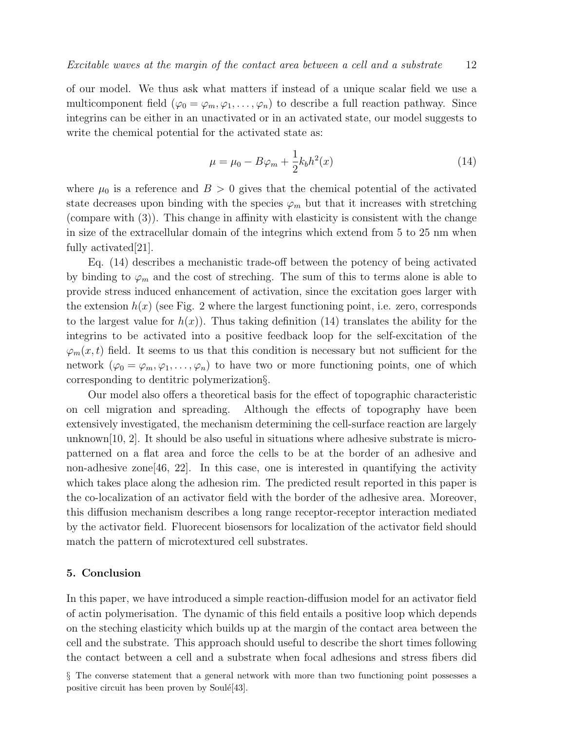of our model. We thus ask what matters if instead of a unique scalar field we use a multicomponent field ( $\varphi_0 = \varphi_m, \varphi_1, \ldots, \varphi_n$ ) to describe a full reaction pathway. Since integrins can be either in an unactivated or in an activated state, our model suggests to write the chemical potential for the activated state as:

$$
\mu = \mu_0 - B\varphi_m + \frac{1}{2}k_b h^2(x)
$$
\n(14)

where  $\mu_0$  is a reference and  $B > 0$  gives that the chemical potential of the activated state decreases upon binding with the species  $\varphi_m$  but that it increases with stretching (compare with (3)). This change in affinity with elasticity is consistent with the change in size of the extracellular domain of the integrins which extend from 5 to 25 nm when fully activated[21].

Eq. (14) describes a mechanistic trade-off between the potency of being activated by binding to  $\varphi_m$  and the cost of streching. The sum of this to terms alone is able to provide stress induced enhancement of activation, since the excitation goes larger with the extension  $h(x)$  (see Fig. 2 where the largest functioning point, i.e. zero, corresponds to the largest value for  $h(x)$ ). Thus taking definition (14) translates the ability for the integrins to be activated into a positive feedback loop for the self-excitation of the  $\varphi_m(x, t)$  field. It seems to us that this condition is necessary but not sufficient for the network  $(\varphi_0 = \varphi_m, \varphi_1, \ldots, \varphi_n)$  to have two or more functioning points, one of which corresponding to dentitric polymerization§.

Our model also offers a theoretical basis for the effect of topographic characteristic on cell migration and spreading. Although the effects of topography have been extensively investigated, the mechanism determining the cell-surface reaction are largely unknown $[10, 2]$ . It should be also useful in situations where adhesive substrate is micropatterned on a flat area and force the cells to be at the border of an adhesive and non-adhesive zone[46, 22]. In this case, one is interested in quantifying the activity which takes place along the adhesion rim. The predicted result reported in this paper is the co-localization of an activator field with the border of the adhesive area. Moreover, this diffusion mechanism describes a long range receptor-receptor interaction mediated by the activator field. Fluorecent biosensors for localization of the activator field should match the pattern of microtextured cell substrates.

### 5. Conclusion

In this paper, we have introduced a simple reaction-diffusion model for an activator field of actin polymerisation. The dynamic of this field entails a positive loop which depends on the steching elasticity which builds up at the margin of the contact area between the cell and the substrate. This approach should useful to describe the short times following the contact between a cell and a substrate when focal adhesions and stress fibers did

<sup>§</sup> The converse statement that a general network with more than two functioning point possesses a positive circuit has been proven by Soulé $[43]$ .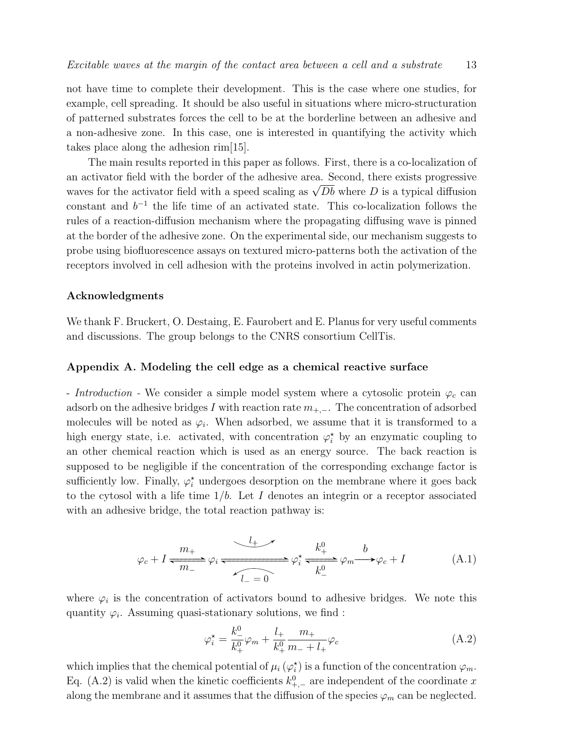not have time to complete their development. This is the case where one studies, for example, cell spreading. It should be also useful in situations where micro-structuration of patterned substrates forces the cell to be at the borderline between an adhesive and a non-adhesive zone. In this case, one is interested in quantifying the activity which takes place along the adhesion rim[15].

The main results reported in this paper as follows. First, there is a co-localization of an activator field with the border of the adhesive area. Second, there exists progressive waves for the activator field with a speed scaling as  $\sqrt{Db}$  where D is a typical diffusion constant and  $b^{-1}$  the life time of an activated state. This co-localization follows the rules of a reaction-diffusion mechanism where the propagating diffusing wave is pinned at the border of the adhesive zone. On the experimental side, our mechanism suggests to probe using biofluorescence assays on textured micro-patterns both the activation of the receptors involved in cell adhesion with the proteins involved in actin polymerization.

#### Acknowledgments

We thank F. Bruckert, O. Destaing, E. Faurobert and E. Planus for very useful comments and discussions. The group belongs to the CNRS consortium CellTis.

#### Appendix A. Modeling the cell edge as a chemical reactive surface

- Introduction - We consider a simple model system where a cytosolic protein  $\varphi_c$  can adsorb on the adhesive bridges I with reaction rate  $m_{+,-}$ . The concentration of adsorbed molecules will be noted as  $\varphi_i$ . When adsorbed, we assume that it is transformed to a high energy state, i.e. activated, with concentration  $\varphi_i^*$  by an enzymatic coupling to an other chemical reaction which is used as an energy source. The back reaction is supposed to be negligible if the concentration of the corresponding exchange factor is sufficiently low. Finally,  $\varphi_i^*$  undergoes desorption on the membrane where it goes back to the cytosol with a life time  $1/b$ . Let I denotes an integrin or a receptor associated with an adhesive bridge, the total reaction pathway is:

$$
\varphi_c + I \xrightarrow{m_+} \varphi_i \xrightarrow{L_+} \varphi_i^* \xrightarrow{k_+^0} \varphi_m \xrightarrow{b} \varphi_c + I
$$
 (A.1)

where  $\varphi_i$  is the concentration of activators bound to adhesive bridges. We note this quantity  $\varphi_i$ . Assuming quasi-stationary solutions, we find :

$$
\varphi_i^* = \frac{k_{-}^0}{k_{+}^0} \varphi_m + \frac{l_{+}}{k_{+}^0} \frac{m_{+}}{m_{-} + l_{+}} \varphi_c \tag{A.2}
$$

which implies that the chemical potential of  $\mu_i (\varphi_i^*)$  is a function of the concentration  $\varphi_m$ . Eq. (A.2) is valid when the kinetic coefficients  $k_{+,-}^0$  are independent of the coordinate x along the membrane and it assumes that the diffusion of the species  $\varphi_m$  can be neglected.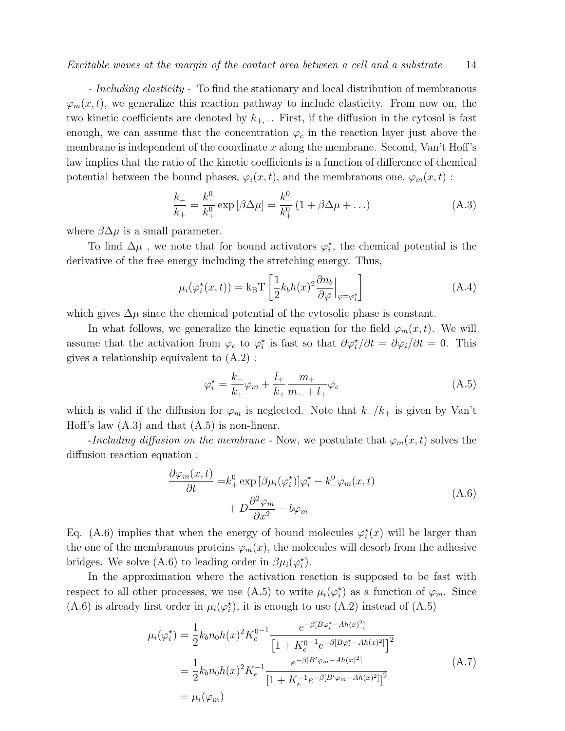- *Including elasticity* - To find the stationary and local distribution of membranous  $\varphi_m(x,t)$ , we generalize this reaction pathway to include elasticity. From now on, the two kinetic coefficients are denoted by  $k_{+,-}$ . First, if the diffusion in the cytosol is fast enough, we can assume that the concentration  $\varphi_c$  in the reaction layer just above the membrane is independent of the coordinate  $x$  along the membrane. Second, Van't Hoff's law implies that the ratio of the kinetic coefficients is a function of difference of chemical potential between the bound phases,  $\varphi_i(x, t)$ , and the membranous one,  $\varphi_m(x, t)$ :

$$
\frac{k_{-}}{k_{+}} = \frac{k_{-}^{0}}{k_{+}^{0}} \exp\left[\beta \Delta \mu\right] = \frac{k_{-}^{0}}{k_{+}^{0}} \left(1 + \beta \Delta \mu + \ldots\right)
$$
(A.3)

where  $\beta \Delta \mu$  is a small parameter.

To find  $\Delta \mu$ , we note that for bound activators  $\varphi_i^*$ , the chemical potential is the derivative of the free energy including the stretching energy. Thus,

$$
\mu_i(\varphi_i^*(x,t)) = k_B T \left[ \frac{1}{2} k_b h(x)^2 \frac{\partial n_b}{\partial \varphi} \Big|_{\varphi = \varphi_i^*} \right]
$$
(A.4)

which gives  $\Delta \mu$  since the chemical potential of the cytosolic phase is constant.

In what follows, we generalize the kinetic equation for the field  $\varphi_m(x,t)$ . We will assume that the activation from  $\varphi_c$  to  $\varphi_i^*$  is fast so that  $\partial \varphi_i^* / \partial t = \partial \varphi_i / \partial t = 0$ . This gives a relationship equivalent to (A.2) :

$$
\varphi_i^* = \frac{k_-}{k_+} \varphi_m + \frac{l_+}{k_+} \frac{m_+}{m_- + l_+} \varphi_c \tag{A.5}
$$

which is valid if the diffusion for  $\varphi_m$  is neglected. Note that  $k_-/k_+$  is given by Van't Hoff's law  $(A.3)$  and that  $(A.5)$  is non-linear.

-Including diffusion on the membrane - Now, we postulate that  $\varphi_m(x,t)$  solves the diffusion reaction equation :

$$
\frac{\partial \varphi_m(x,t)}{\partial t} = k_+^0 \exp \left[ \beta \mu_i(\varphi_i^{\star}) \right] \varphi_i^{\star} - k_-^0 \varphi_m(x,t) + D \frac{\partial^2 \varphi_m}{\partial x^2} - b \varphi_m
$$
\n(A.6)

Eq. (A.6) implies that when the energy of bound molecules  $\varphi_i^*(x)$  will be larger than the one of the membranous proteins  $\varphi_m(x)$ , the molecules will desorb from the adhesive bridges. We solve (A.6) to leading order in  $\beta\mu_i(\varphi_i^{\star})$ .

In the approximation where the activation reaction is supposed to be fast with respect to all other processes, we use (A.5) to write  $\mu_i(\varphi_i^{\star})$  as a function of  $\varphi_m$ . Since (A.6) is already first order in  $\mu_i(\varphi_i^*)$ , it is enough to use (A.2) instead of (A.5)

$$
\mu_i(\varphi_i^*) = \frac{1}{2} k_b n_0 h(x)^2 K_e^{0-1} \frac{e^{-\beta [B\varphi_i^* - Ah(x)^2]}}{\left[1 + K_e^{0-1} e^{-\beta [B\varphi_i^* - Ah(x)^2]}\right]^2}
$$

$$
= \frac{1}{2} k_b n_0 h(x)^2 K_e^{-1} \frac{e^{-\beta [B'\varphi_m - Ah(x)^2]}}{\left[1 + K_e^{-1} e^{-\beta [B'\varphi_m - Ah(x)^2]}\right]^2}
$$

$$
= \mu_i(\varphi_m) \tag{A.7}
$$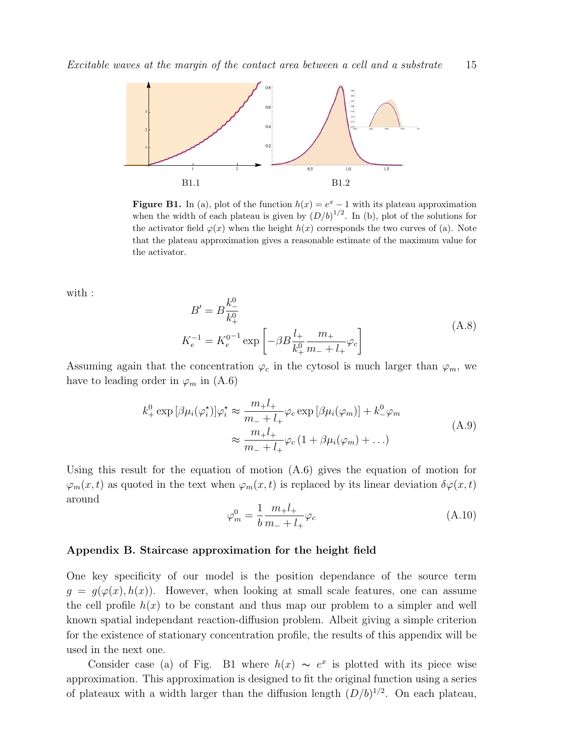

**Figure B1.** In (a), plot of the function  $h(x) = e^x - 1$  with its plateau approximation when the width of each plateau is given by  $(D/b)^{1/2}$ . In (b), plot of the solutions for the activator field  $\varphi(x)$  when the height  $h(x)$  corresponds the two curves of (a). Note that the plateau approximation gives a reasonable estimate of the maximum value for the activator.

with :

$$
B' = B \frac{k_{-}^{0}}{k_{+}^{0}}
$$
  

$$
K_{e}^{-1} = K_{e}^{0-1} \exp \left[ -\beta B \frac{l_{+}}{k_{+}^{0}} \frac{m_{+}}{m_{-} + l_{+}} \varphi_{c} \right]
$$
(A.8)

Assuming again that the concentration  $\varphi_c$  in the cytosol is much larger than  $\varphi_m$ , we have to leading order in  $\varphi_m$  in (A.6)

$$
k_+^0 \exp\left[\beta\mu_i(\varphi_i^{\star})\right] \varphi_i^{\star} \approx \frac{m_+ l_+}{m_- + l_+} \varphi_c \exp\left[\beta\mu_i(\varphi_m)\right] + k_-^0 \varphi_m
$$
  

$$
\approx \frac{m_+ l_+}{m_- + l_+} \varphi_c \left(1 + \beta\mu_i(\varphi_m) + \ldots\right)
$$
 (A.9)

Using this result for the equation of motion (A.6) gives the equation of motion for  $\varphi_m(x,t)$  as quoted in the text when  $\varphi_m(x,t)$  is replaced by its linear deviation  $\delta\varphi(x,t)$ around

$$
\varphi_m^0 = \frac{1}{b} \frac{m_+ l_+}{m_- + l_+} \varphi_c \tag{A.10}
$$

# Appendix B. Staircase approximation for the height field

One key specificity of our model is the position dependance of the source term  $g = g(\varphi(x), h(x))$ . However, when looking at small scale features, one can assume the cell profile  $h(x)$  to be constant and thus map our problem to a simpler and well known spatial independant reaction-diffusion problem. Albeit giving a simple criterion for the existence of stationary concentration profile, the results of this appendix will be used in the next one.

Consider case (a) of Fig. B1 where  $h(x) \sim e^x$  is plotted with its piece wise approximation. This approximation is designed to fit the original function using a series of plateaux with a width larger than the diffusion length  $(D/b)^{1/2}$ . On each plateau,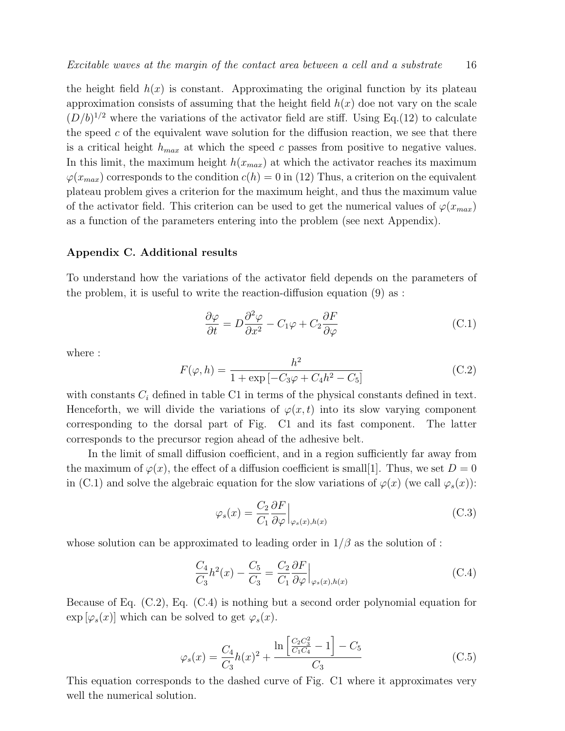the height field  $h(x)$  is constant. Approximating the original function by its plateau approximation consists of assuming that the height field  $h(x)$  doe not vary on the scale  $(D/b)^{1/2}$  where the variations of the activator field are stiff. Using Eq.(12) to calculate the speed  $c$  of the equivalent wave solution for the diffusion reaction, we see that there is a critical height  $h_{max}$  at which the speed c passes from positive to negative values. In this limit, the maximum height  $h(x_{max})$  at which the activator reaches its maximum  $\varphi(x_{max})$  corresponds to the condition  $c(h) = 0$  in (12) Thus, a criterion on the equivalent plateau problem gives a criterion for the maximum height, and thus the maximum value of the activator field. This criterion can be used to get the numerical values of  $\varphi(x_{max})$ as a function of the parameters entering into the problem (see next Appendix).

#### Appendix C. Additional results

To understand how the variations of the activator field depends on the parameters of the problem, it is useful to write the reaction-diffusion equation  $(9)$  as :

$$
\frac{\partial \varphi}{\partial t} = D \frac{\partial^2 \varphi}{\partial x^2} - C_1 \varphi + C_2 \frac{\partial F}{\partial \varphi}
$$
 (C.1)

where :

$$
F(\varphi, h) = \frac{h^2}{1 + \exp[-C_3\varphi + C_4h^2 - C_5]}
$$
 (C.2)

with constants  $C_i$  defined in table C1 in terms of the physical constants defined in text. Henceforth, we will divide the variations of  $\varphi(x,t)$  into its slow varying component corresponding to the dorsal part of Fig. C1 and its fast component. The latter corresponds to the precursor region ahead of the adhesive belt.

In the limit of small diffusion coefficient, and in a region sufficiently far away from the maximum of  $\varphi(x)$ , the effect of a diffusion coefficient is small[1]. Thus, we set  $D = 0$ in (C.1) and solve the algebraic equation for the slow variations of  $\varphi(x)$  (we call  $\varphi_s(x)$ ):

$$
\varphi_s(x) = \frac{C_2}{C_1} \frac{\partial F}{\partial \varphi} \Big|_{\varphi_s(x), h(x)}
$$
\n(C.3)

whose solution can be approximated to leading order in  $1/\beta$  as the solution of :

$$
\frac{C_4}{C_3}h^2(x) - \frac{C_5}{C_3} = \frac{C_2}{C_1} \frac{\partial F}{\partial \varphi}\Big|_{\varphi_s(x), h(x)}
$$
(C.4)

Because of Eq. (C.2), Eq. (C.4) is nothing but a second order polynomial equation for  $\exp [\varphi_s(x)]$  which can be solved to get  $\varphi_s(x)$ .

$$
\varphi_s(x) = \frac{C_4}{C_3}h(x)^2 + \frac{\ln\left[\frac{C_2C_3^2}{C_1C_4} - 1\right] - C_5}{C_3} \tag{C.5}
$$

This equation corresponds to the dashed curve of Fig. C1 where it approximates very well the numerical solution.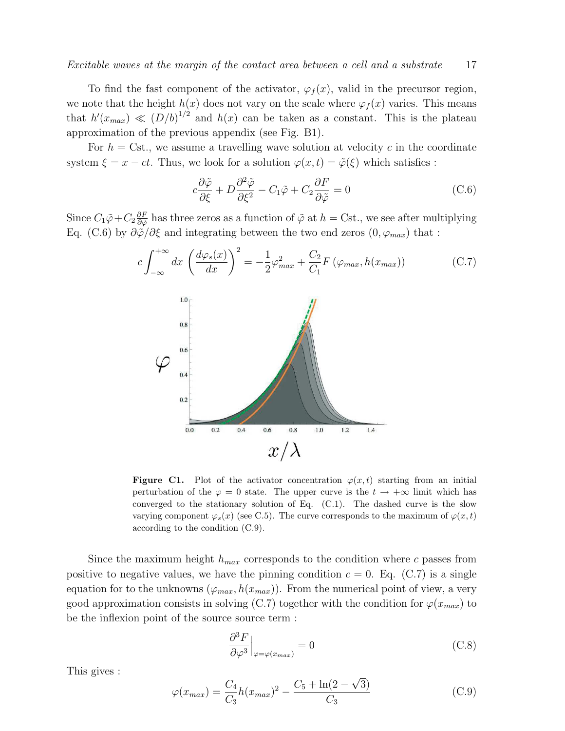To find the fast component of the activator,  $\varphi_f(x)$ , valid in the precursor region, we note that the height  $h(x)$  does not vary on the scale where  $\varphi_f(x)$  varies. This means that  $h'(x_{max}) \ll (D/b)^{1/2}$  and  $h(x)$  can be taken as a constant. This is the plateau approximation of the previous appendix (see Fig. B1).

For  $h = \text{Cst.}$ , we assume a travelling wave solution at velocity c in the coordinate system  $\xi = x - ct$ . Thus, we look for a solution  $\varphi(x, t) = \tilde{\varphi}(\xi)$  which satisfies :

$$
c\frac{\partial \tilde{\varphi}}{\partial \xi} + D \frac{\partial^2 \tilde{\varphi}}{\partial \xi^2} - C_1 \tilde{\varphi} + C_2 \frac{\partial F}{\partial \tilde{\varphi}} = 0
$$
 (C.6)

Since  $C_1\tilde{\varphi}+C_2\frac{\partial F}{\partial \tilde{\omega}}$  $\frac{\partial F}{\partial \tilde{\varphi}}$  has three zeros as a function of  $\tilde{\varphi}$  at  $h = \text{Cst.}$ , we see after multiplying Eq. (C.6) by  $\partial \tilde{\varphi}/\partial \xi$  and integrating between the two end zeros  $(0, \varphi_{max})$  that :



**Figure C1.** Plot of the activator concentration  $\varphi(x, t)$  starting from an initial perturbation of the  $\varphi = 0$  state. The upper curve is the  $t \to +\infty$  limit which has converged to the stationary solution of Eq.  $(C.1)$ . The dashed curve is the slow varying component  $\varphi_s(x)$  (see C.5). The curve corresponds to the maximum of  $\varphi(x, t)$ according to the condition (C.9).

Since the maximum height  $h_{max}$  corresponds to the condition where c passes from positive to negative values, we have the pinning condition  $c = 0$ . Eq. (C.7) is a single equation for to the unknowns  $(\varphi_{max}, h(x_{max}))$ . From the numerical point of view, a very good approximation consists in solving (C.7) together with the condition for  $\varphi(x_{max})$  to be the inflexion point of the source source term :

$$
\frac{\partial^3 F}{\partial \varphi^3}\Big|_{\varphi=\varphi(x_{max})} = 0 \tag{C.8}
$$

This gives :

$$
\varphi(x_{max}) = \frac{C_4}{C_3} h(x_{max})^2 - \frac{C_5 + \ln(2 - \sqrt{3})}{C_3}
$$
\n(C.9)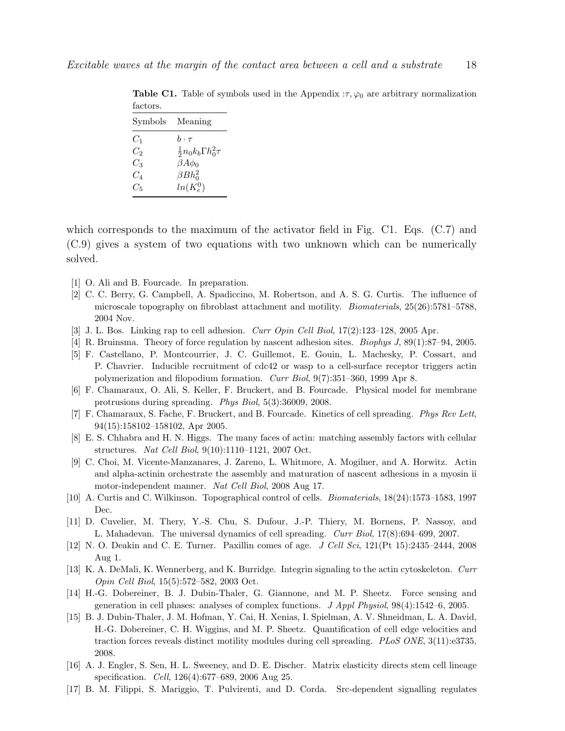|                        | Symbols Meaning                     |
|------------------------|-------------------------------------|
| $C_1$                  | $h\cdot\tau$                        |
| $C_2$                  | $\frac{1}{2}n_0k_b\Gamma h_0^2\tau$ |
| $C_3$                  | $\beta A\phi_0$                     |
| $C_A$                  | $\beta Bh_0^2$                      |
| $C_{\bar{\mathbf{5}}}$ | $ln(K_e^0)$                         |

**Table C1.** Table of symbols used in the Appendix  $:\tau, \varphi_0$  are arbitrary normalization factors.

which corresponds to the maximum of the activator field in Fig. C1. Eqs. (C.7) and (C.9) gives a system of two equations with two unknown which can be numerically solved.

- [1] O. Ali and B. Fourcade. In preparation.
- [2] C. C. Berry, G. Campbell, A. Spadiccino, M. Robertson, and A. S. G. Curtis. The influence of microscale topography on fibroblast attachment and motility. Biomaterials, 25(26):5781–5788, 2004 Nov.
- [3] J. L. Bos. Linking rap to cell adhesion. Curr Opin Cell Biol, 17(2):123–128, 2005 Apr.
- [4] R. Bruinsma. Theory of force regulation by nascent adhesion sites. Biophys J, 89(1):87–94, 2005.
- [5] F. Castellano, P. Montcourrier, J. C. Guillemot, E. Gouin, L. Machesky, P. Cossart, and P. Chavrier. Inducible recruitment of cdc42 or wasp to a cell-surface receptor triggers actin polymerization and filopodium formation. Curr Biol, 9(7):351–360, 1999 Apr 8.
- [6] F. Chamaraux, O. Ali, S. Keller, F. Bruckert, and B. Fourcade. Physical model for membrane protrusions during spreading. Phys Biol, 5(3):36009, 2008.
- [7] F. Chamaraux, S. Fache, F. Bruckert, and B. Fourcade. Kinetics of cell spreading. Phys Rev Lett, 94(15):158102–158102, Apr 2005.
- [8] E. S. Chhabra and H. N. Higgs. The many faces of actin: matching assembly factors with cellular structures. Nat Cell Biol, 9(10):1110–1121, 2007 Oct.
- [9] C. Choi, M. Vicente-Manzanares, J. Zareno, L. Whitmore, A. Mogilner, and A. Horwitz. Actin and alpha-actinin orchestrate the assembly and maturation of nascent adhesions in a myosin ii motor-independent manner. Nat Cell Biol, 2008 Aug 17.
- [10] A. Curtis and C. Wilkinson. Topographical control of cells. Biomaterials, 18(24):1573–1583, 1997 Dec.
- [11] D. Cuvelier, M. Thery, Y.-S. Chu, S. Dufour, J.-P. Thiery, M. Bornens, P. Nassoy, and L. Mahadevan. The universal dynamics of cell spreading. Curr Biol, 17(8):694–699, 2007.
- [12] N. O. Deakin and C. E. Turner. Paxillin comes of age.  $J$  Cell Sci, 121(Pt 15):2435–2444, 2008 Aug 1.
- [13] K. A. DeMali, K. Wennerberg, and K. Burridge. Integrin signaling to the actin cytoskeleton. Curr Opin Cell Biol, 15(5):572–582, 2003 Oct.
- [14] H.-G. Dobereiner, B. J. Dubin-Thaler, G. Giannone, and M. P. Sheetz. Force sensing and generation in cell phases: analyses of complex functions. J Appl Physiol, 98(4):1542–6, 2005.
- [15] B. J. Dubin-Thaler, J. M. Hofman, Y. Cai, H. Xenias, I. Spielman, A. V. Shneidman, L. A. David, H.-G. Dobereiner, C. H. Wiggins, and M. P. Sheetz. Quantification of cell edge velocities and traction forces reveals distinct motility modules during cell spreading. PLoS ONE, 3(11):e3735, 2008.
- [16] A. J. Engler, S. Sen, H. L. Sweeney, and D. E. Discher. Matrix elasticity directs stem cell lineage specification. Cell, 126(4):677–689, 2006 Aug 25.
- [17] B. M. Filippi, S. Mariggio, T. Pulvirenti, and D. Corda. Src-dependent signalling regulates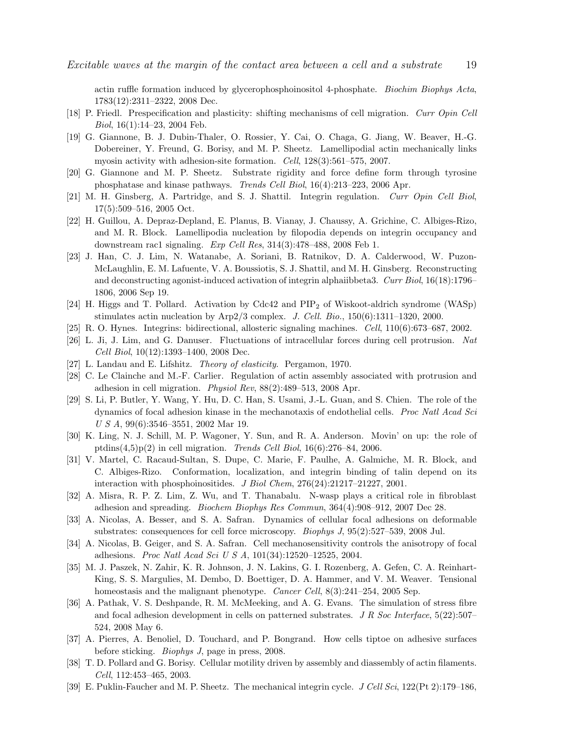actin ruffle formation induced by glycerophosphoinositol 4-phosphate. Biochim Biophys Acta, 1783(12):2311–2322, 2008 Dec.

- [18] P. Friedl. Prespecification and plasticity: shifting mechanisms of cell migration. Curr Opin Cell Biol, 16(1):14–23, 2004 Feb.
- [19] G. Giannone, B. J. Dubin-Thaler, O. Rossier, Y. Cai, O. Chaga, G. Jiang, W. Beaver, H.-G. Dobereiner, Y. Freund, G. Borisy, and M. P. Sheetz. Lamellipodial actin mechanically links myosin activity with adhesion-site formation. Cell, 128(3):561–575, 2007.
- [20] G. Giannone and M. P. Sheetz. Substrate rigidity and force define form through tyrosine phosphatase and kinase pathways. Trends Cell Biol, 16(4):213–223, 2006 Apr.
- [21] M. H. Ginsberg, A. Partridge, and S. J. Shattil. Integrin regulation. Curr Opin Cell Biol, 17(5):509–516, 2005 Oct.
- [22] H. Guillou, A. Depraz-Depland, E. Planus, B. Vianay, J. Chaussy, A. Grichine, C. Albiges-Rizo, and M. R. Block. Lamellipodia nucleation by filopodia depends on integrin occupancy and downstream rac1 signaling. Exp Cell Res, 314(3):478–488, 2008 Feb 1.
- [23] J. Han, C. J. Lim, N. Watanabe, A. Soriani, B. Ratnikov, D. A. Calderwood, W. Puzon-McLaughlin, E. M. Lafuente, V. A. Boussiotis, S. J. Shattil, and M. H. Ginsberg. Reconstructing and deconstructing agonist-induced activation of integrin alphaiibbeta3. Curr Biol, 16(18):1796– 1806, 2006 Sep 19.
- [24] H. Higgs and T. Pollard. Activation by  $Cdc42$  and  $PIP<sub>2</sub>$  of Wiskoot-aldrich syndrome (WASp) stimulates actin nucleation by Arp2/3 complex. J. Cell. Bio.,  $150(6):1311-1320$ , 2000.
- [25] R. O. Hynes. Integrins: bidirectional, allosteric signaling machines. Cell, 110(6):673–687, 2002.
- [26] L. Ji, J. Lim, and G. Danuser. Fluctuations of intracellular forces during cell protrusion. Nat Cell Biol, 10(12):1393–1400, 2008 Dec.
- [27] L. Landau and E. Lifshitz. Theory of elasticity. Pergamon, 1970.
- [28] C. Le Clainche and M.-F. Carlier. Regulation of actin assembly associated with protrusion and adhesion in cell migration. Physiol Rev, 88(2):489–513, 2008 Apr.
- [29] S. Li, P. Butler, Y. Wang, Y. Hu, D. C. Han, S. Usami, J.-L. Guan, and S. Chien. The role of the dynamics of focal adhesion kinase in the mechanotaxis of endothelial cells. Proc Natl Acad Sci U S A, 99(6):3546–3551, 2002 Mar 19.
- [30] K. Ling, N. J. Schill, M. P. Wagoner, Y. Sun, and R. A. Anderson. Movin' on up: the role of ptdins $(4.5)p(2)$  in cell migration. Trends Cell Biol, 16(6):276–84, 2006.
- [31] V. Martel, C. Racaud-Sultan, S. Dupe, C. Marie, F. Paulhe, A. Galmiche, M. R. Block, and C. Albiges-Rizo. Conformation, localization, and integrin binding of talin depend on its interaction with phosphoinositides. J Biol Chem, 276(24):21217–21227, 2001.
- [32] A. Misra, R. P. Z. Lim, Z. Wu, and T. Thanabalu. N-wasp plays a critical role in fibroblast adhesion and spreading. Biochem Biophys Res Commun, 364(4):908–912, 2007 Dec 28.
- [33] A. Nicolas, A. Besser, and S. A. Safran. Dynamics of cellular focal adhesions on deformable substrates: consequences for cell force microscopy. Biophys J, 95(2):527–539, 2008 Jul.
- [34] A. Nicolas, B. Geiger, and S. A. Safran. Cell mechanosensitivity controls the anisotropy of focal adhesions. Proc Natl Acad Sci U S A, 101(34):12520–12525, 2004.
- [35] M. J. Paszek, N. Zahir, K. R. Johnson, J. N. Lakins, G. I. Rozenberg, A. Gefen, C. A. Reinhart-King, S. S. Margulies, M. Dembo, D. Boettiger, D. A. Hammer, and V. M. Weaver. Tensional homeostasis and the malignant phenotype. *Cancer Cell*,  $8(3):241-254$ , 2005 Sep.
- [36] A. Pathak, V. S. Deshpande, R. M. McMeeking, and A. G. Evans. The simulation of stress fibre and focal adhesion development in cells on patterned substrates. J R Soc Interface,  $5(22):507-$ 524, 2008 May 6.
- [37] A. Pierres, A. Benoliel, D. Touchard, and P. Bongrand. How cells tiptoe on adhesive surfaces before sticking. Biophys J, page in press, 2008.
- [38] T. D. Pollard and G. Borisy. Cellular motility driven by assembly and diassembly of actin filaments. Cell, 112:453–465, 2003.
- [39] E. Puklin-Faucher and M. P. Sheetz. The mechanical integrin cycle. J Cell Sci, 122(Pt 2):179–186,